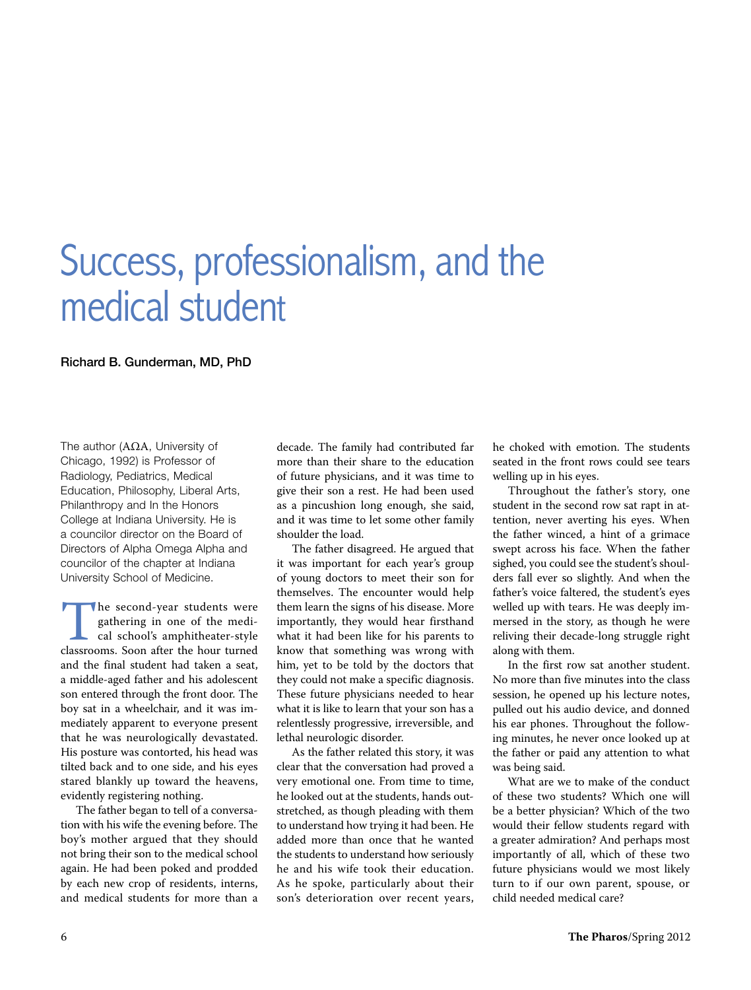## Success, professionalism, and the medical student

Richard B. Gunderman, MD, PhD

The author (AΩA, University of Chicago, 1992) is Professor of Radiology, Pediatrics, Medical Education, Philosophy, Liberal Arts, Philanthropy and In the Honors College at Indiana University. He is a councilor director on the Board of Directors of Alpha Omega Alpha and councilor of the chapter at Indiana University School of Medicine.

The second-year students were<br>gathering in one of the medi-<br>cal school's amphitheater-style<br>classrooms. Soon after the hour turned gathering in one of the medical school's amphitheater-style classrooms. Soon after the hour turned and the final student had taken a seat, a middle-aged father and his adolescent son entered through the front door. The boy sat in a wheelchair, and it was immediately apparent to everyone present that he was neurologically devastated. His posture was contorted, his head was tilted back and to one side, and his eyes stared blankly up toward the heavens, evidently registering nothing.

The father began to tell of a conversation with his wife the evening before. The boy's mother argued that they should not bring their son to the medical school again. He had been poked and prodded by each new crop of residents, interns, and medical students for more than a

decade. The family had contributed far more than their share to the education of future physicians, and it was time to give their son a rest. He had been used as a pincushion long enough, she said, and it was time to let some other family shoulder the load.

The father disagreed. He argued that it was important for each year's group of young doctors to meet their son for themselves. The encounter would help them learn the signs of his disease. More importantly, they would hear firsthand what it had been like for his parents to know that something was wrong with him, yet to be told by the doctors that they could not make a specific diagnosis. These future physicians needed to hear what it is like to learn that your son has a relentlessly progressive, irreversible, and lethal neurologic disorder.

As the father related this story, it was clear that the conversation had proved a very emotional one. From time to time, he looked out at the students, hands outstretched, as though pleading with them to understand how trying it had been. He added more than once that he wanted the students to understand how seriously he and his wife took their education. As he spoke, particularly about their son's deterioration over recent years, he choked with emotion. The students seated in the front rows could see tears welling up in his eyes.

Throughout the father's story, one student in the second row sat rapt in attention, never averting his eyes. When the father winced, a hint of a grimace swept across his face. When the father sighed, you could see the student's shoulders fall ever so slightly. And when the father's voice faltered, the student's eyes welled up with tears. He was deeply immersed in the story, as though he were reliving their decade-long struggle right along with them.

In the first row sat another student. No more than five minutes into the class session, he opened up his lecture notes, pulled out his audio device, and donned his ear phones. Throughout the following minutes, he never once looked up at the father or paid any attention to what was being said.

What are we to make of the conduct of these two students? Which one will be a better physician? Which of the two would their fellow students regard with a greater admiration? And perhaps most importantly of all, which of these two future physicians would we most likely turn to if our own parent, spouse, or child needed medical care?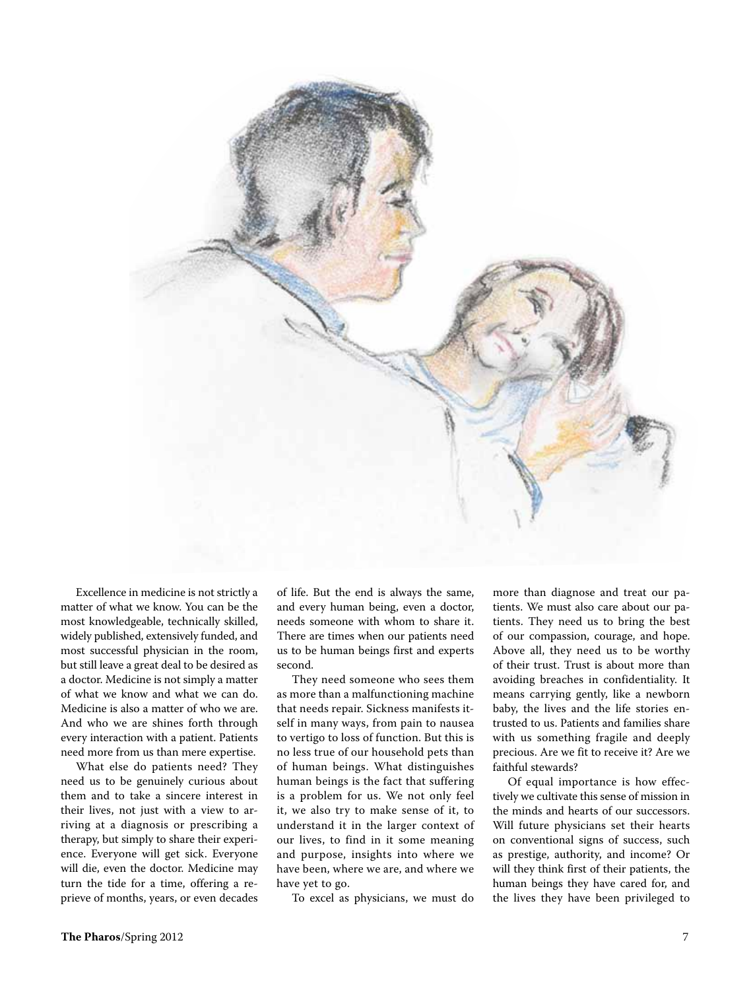

Excellence in medicine is not strictly a matter of what we know. You can be the most knowledgeable, technically skilled, widely published, extensively funded, and most successful physician in the room, but still leave a great deal to be desired as a doctor. Medicine is not simply a matter of what we know and what we can do. Medicine is also a matter of who we are. And who we are shines forth through every interaction with a patient. Patients need more from us than mere expertise.

What else do patients need? They need us to be genuinely curious about them and to take a sincere interest in their lives, not just with a view to arriving at a diagnosis or prescribing a therapy, but simply to share their experience. Everyone will get sick. Everyone will die, even the doctor. Medicine may turn the tide for a time, offering a reprieve of months, years, or even decades

of life. But the end is always the same, and every human being, even a doctor, needs someone with whom to share it. There are times when our patients need us to be human beings first and experts second.

They need someone who sees them as more than a malfunctioning machine that needs repair. Sickness manifests itself in many ways, from pain to nausea to vertigo to loss of function. But this is no less true of our household pets than of human beings. What distinguishes human beings is the fact that suffering is a problem for us. We not only feel it, we also try to make sense of it, to understand it in the larger context of our lives, to find in it some meaning and purpose, insights into where we have been, where we are, and where we have yet to go.

To excel as physicians, we must do

more than diagnose and treat our patients. We must also care about our patients. They need us to bring the best of our compassion, courage, and hope. Above all, they need us to be worthy of their trust. Trust is about more than avoiding breaches in confidentiality. It means carrying gently, like a newborn baby, the lives and the life stories entrusted to us. Patients and families share with us something fragile and deeply precious. Are we fit to receive it? Are we faithful stewards?

Of equal importance is how effectively we cultivate this sense of mission in the minds and hearts of our successors. Will future physicians set their hearts on conventional signs of success, such as prestige, authority, and income? Or will they think first of their patients, the human beings they have cared for, and the lives they have been privileged to